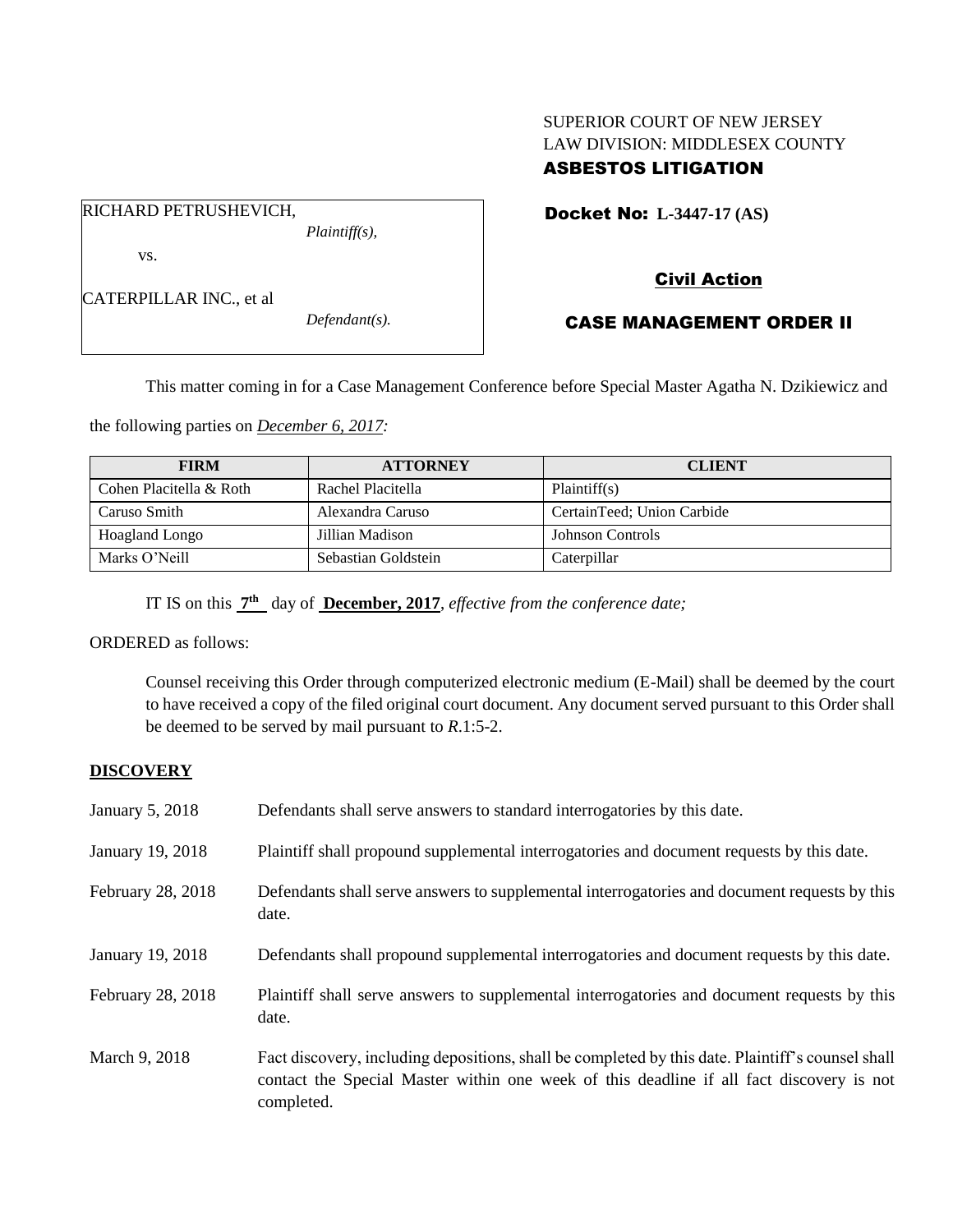## SUPERIOR COURT OF NEW JERSEY LAW DIVISION: MIDDLESEX COUNTY ASBESTOS LITIGATION

Docket No: **L-3447-17 (AS)** 

vs.

CATERPILLAR INC., et al

RICHARD PETRUSHEVICH,

*Defendant(s).*

*Plaintiff(s),*

# Civil Action

## CASE MANAGEMENT ORDER II

This matter coming in for a Case Management Conference before Special Master Agatha N. Dzikiewicz and

the following parties on *December 6, 2017:*

| <b>FIRM</b>             | <b>ATTORNEY</b>     | <b>CLIENT</b>              |
|-------------------------|---------------------|----------------------------|
| Cohen Placitella & Roth | Rachel Placitella   | Plaintiff(s)               |
| Caruso Smith            | Alexandra Caruso    | CertainTeed; Union Carbide |
| <b>Hoagland Longo</b>   | Jillian Madison     | Johnson Controls           |
| Marks O'Neill           | Sebastian Goldstein | Caterpillar                |

IT IS on this  $7<sup>th</sup>$  day of **December, 2017**, *effective from the conference date*;

ORDERED as follows:

Counsel receiving this Order through computerized electronic medium (E-Mail) shall be deemed by the court to have received a copy of the filed original court document. Any document served pursuant to this Order shall be deemed to be served by mail pursuant to *R*.1:5-2.

## **DISCOVERY**

| January 5, 2018   | Defendants shall serve answers to standard interrogatories by this date.                                                                                                                                    |
|-------------------|-------------------------------------------------------------------------------------------------------------------------------------------------------------------------------------------------------------|
| January 19, 2018  | Plaintiff shall propound supplemental interrogatories and document requests by this date.                                                                                                                   |
| February 28, 2018 | Defendants shall serve answers to supplemental interrogatories and document requests by this<br>date.                                                                                                       |
| January 19, 2018  | Defendants shall propound supplemental interrogatories and document requests by this date.                                                                                                                  |
| February 28, 2018 | Plaintiff shall serve answers to supplemental interrogatories and document requests by this<br>date.                                                                                                        |
| March 9, 2018     | Fact discovery, including depositions, shall be completed by this date. Plaintiff's counsel shall<br>contact the Special Master within one week of this deadline if all fact discovery is not<br>completed. |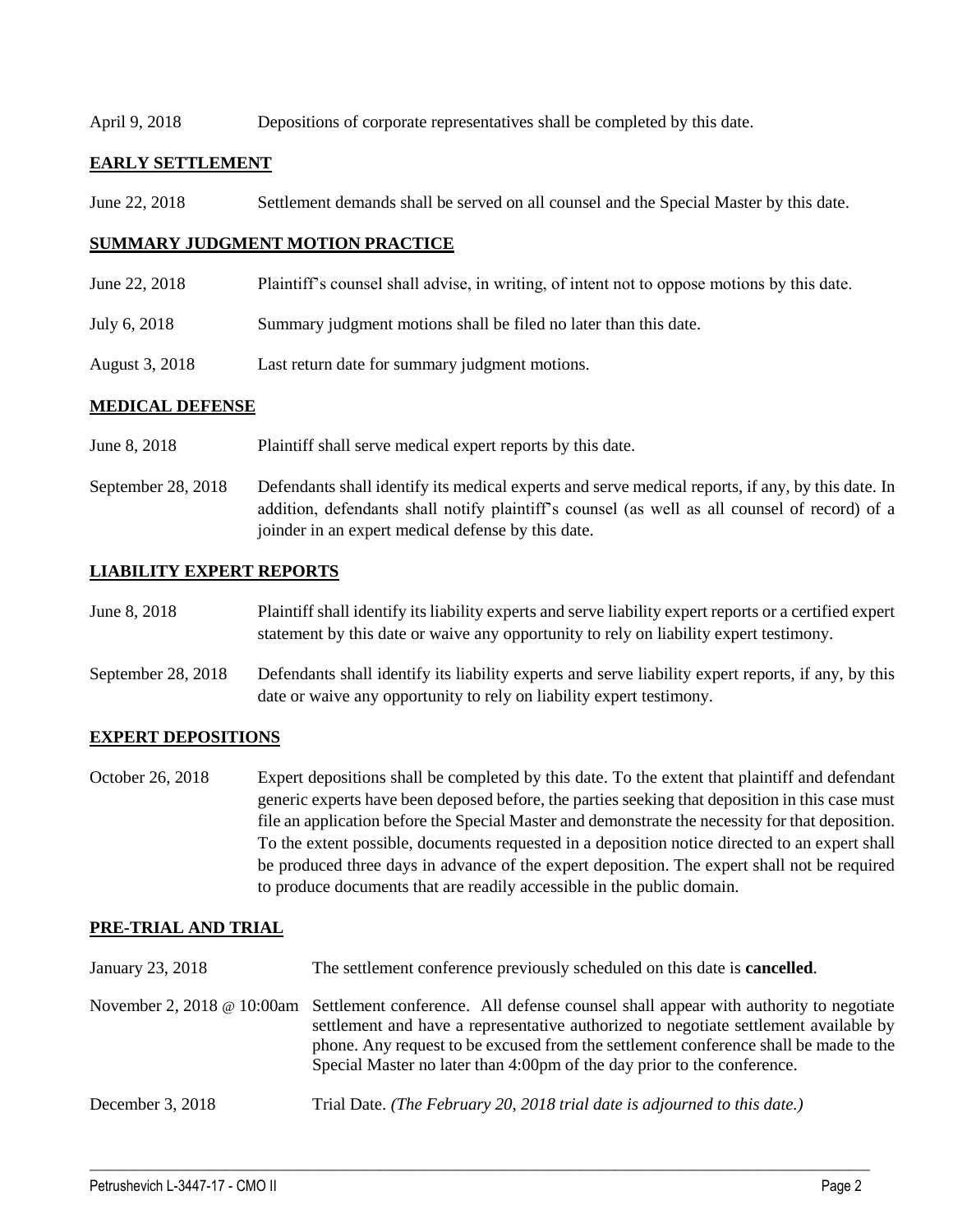#### April 9, 2018 Depositions of corporate representatives shall be completed by this date.

### **EARLY SETTLEMENT**

June 22, 2018 Settlement demands shall be served on all counsel and the Special Master by this date.

### **SUMMARY JUDGMENT MOTION PRACTICE**

- June 22, 2018 Plaintiff's counsel shall advise, in writing, of intent not to oppose motions by this date.
- July 6, 2018 Summary judgment motions shall be filed no later than this date.
- August 3, 2018 Last return date for summary judgment motions.

#### **MEDICAL DEFENSE**

- June 8, 2018 Plaintiff shall serve medical expert reports by this date.
- September 28, 2018 Defendants shall identify its medical experts and serve medical reports, if any, by this date. In addition, defendants shall notify plaintiff's counsel (as well as all counsel of record) of a joinder in an expert medical defense by this date.

### **LIABILITY EXPERT REPORTS**

| June 8, 2018       | Plaintiff shall identify its liability experts and serve liability expert reports or a certified expert<br>statement by this date or waive any opportunity to rely on liability expert testimony. |
|--------------------|---------------------------------------------------------------------------------------------------------------------------------------------------------------------------------------------------|
| September 28, 2018 | Defendants shall identify its liability experts and serve liability expert reports, if any, by this<br>date or waive any opportunity to rely on liability expert testimony.                       |

#### **EXPERT DEPOSITIONS**

October 26, 2018 Expert depositions shall be completed by this date. To the extent that plaintiff and defendant generic experts have been deposed before, the parties seeking that deposition in this case must file an application before the Special Master and demonstrate the necessity for that deposition. To the extent possible, documents requested in a deposition notice directed to an expert shall be produced three days in advance of the expert deposition. The expert shall not be required to produce documents that are readily accessible in the public domain.

### **PRE-TRIAL AND TRIAL**

| January 23, 2018           | The settlement conference previously scheduled on this date is <b>cancelled</b> .                                                                                                                                                                                                                                                              |
|----------------------------|------------------------------------------------------------------------------------------------------------------------------------------------------------------------------------------------------------------------------------------------------------------------------------------------------------------------------------------------|
| November 2, 2018 @ 10:00am | Settlement conference. All defense counsel shall appear with authority to negotiate<br>settlement and have a representative authorized to negotiate settlement available by<br>phone. Any request to be excused from the settlement conference shall be made to the<br>Special Master no later than 4:00pm of the day prior to the conference. |
| December 3, 2018           | Trial Date. (The February 20, 2018 trial date is adjourned to this date.)                                                                                                                                                                                                                                                                      |

 $\_$  ,  $\_$  ,  $\_$  ,  $\_$  ,  $\_$  ,  $\_$  ,  $\_$  ,  $\_$  ,  $\_$  ,  $\_$  ,  $\_$  ,  $\_$  ,  $\_$  ,  $\_$  ,  $\_$  ,  $\_$  ,  $\_$  ,  $\_$  ,  $\_$  ,  $\_$  ,  $\_$  ,  $\_$  ,  $\_$  ,  $\_$  ,  $\_$  ,  $\_$  ,  $\_$  ,  $\_$  ,  $\_$  ,  $\_$  ,  $\_$  ,  $\_$  ,  $\_$  ,  $\_$  ,  $\_$  ,  $\_$  ,  $\_$  ,